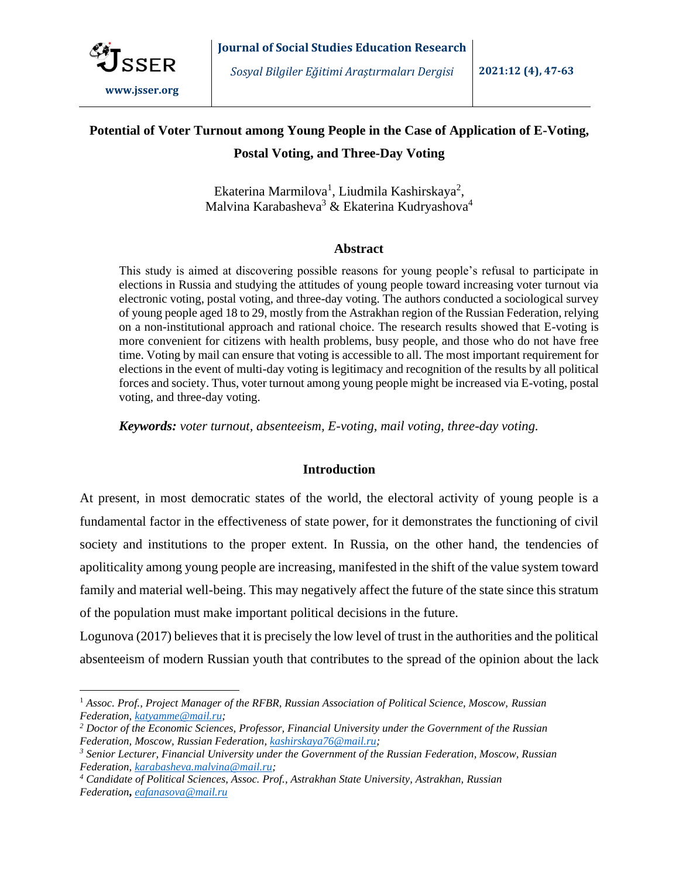

# **Potential of Voter Turnout among Young People in the Case of Application of E-Voting, Postal Voting, and Three-Day Voting**

Ekaterina Marmilova<sup>1</sup>, Liudmila Kashirskaya<sup>2</sup>, Malvina Karabasheva<sup>3</sup> & Ekaterina Kudryashova<sup>4</sup>

# **Abstract**

This study is aimed at discovering possible reasons for young people's refusal to participate in elections in Russia and studying the attitudes of young people toward increasing voter turnout via electronic voting, postal voting, and three-day voting. The authors conducted a sociological survey of young people aged 18 to 29, mostly from the Astrakhan region of the Russian Federation, relying on a non-institutional approach and rational choice. The research results showed that E-voting is more convenient for citizens with health problems, busy people, and those who do not have free time. Voting by mail can ensure that voting is accessible to all. The most important requirement for elections in the event of multi-day voting is legitimacy and recognition of the results by all political forces and society. Thus, voter turnout among young people might be increased via E-voting, postal voting, and three-day voting.

*Keywords: voter turnout, absenteeism, E-voting, mail voting, three-day voting.*

# **Introduction**

At present, in most democratic states of the world, the electoral activity of young people is a fundamental factor in the effectiveness of state power, for it demonstrates the functioning of civil society and institutions to the proper extent. In Russia, on the other hand, the tendencies of apoliticality among young people are increasing, manifested in the shift of the value system toward family and material well-being. This may negatively affect the future of the state since this stratum of the population must make important political decisions in the future.

Logunova (2017) believes that it is precisely the low level of trust in the authorities and the political absenteeism of modern Russian youth that contributes to the spread of the opinion about the lack

<sup>1</sup> *Assoc. Prof., Project Manager of the RFBR, Russian Association of Political Science, Moscow, Russian Federation[, katyamme@mail.ru;](mailto:katyamme@mail.ru)*

*<sup>2</sup> Doctor of the Economic Sciences, Professor, Financial University under the Government of the Russian Federation, Moscow, Russian Federation, [kashirskaya76@mail.ru;](mailto:kashirskaya76@mail.ru)*

*<sup>3</sup> Senior Lecturer, Financial University under the Government of the Russian Federation, Moscow, Russian Federation, [karabasheva.malvina@mail.ru;](mailto:karabasheva.malvina@mail.ru)*

*<sup>4</sup> Candidate of Political Sciences, Assoc. Prof., Astrakhan State University, Astrakhan, Russian Federation***,** *[eafanasova@mail.ru](https://e.mail.ru/compose?To=eafanasova@mail.ru)*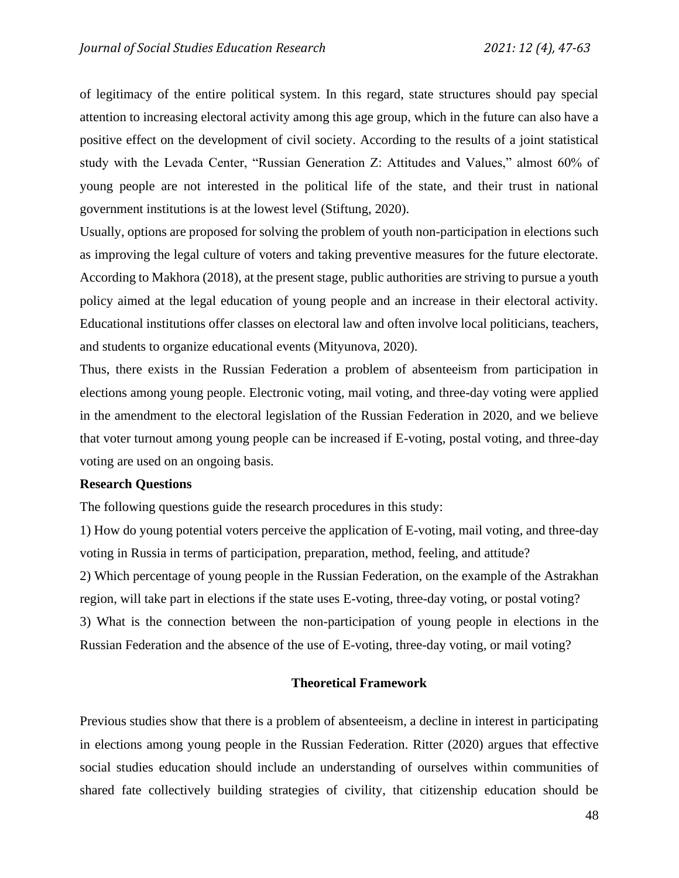of legitimacy of the entire political system. In this regard, state structures should pay special attention to increasing electoral activity among this age group, which in the future can also have a positive effect on the development of civil society. According to the results of a joint statistical study with the Levada Center, "Russian Generation Z: Attitudes and Values," almost 60% of young people are not interested in the political life of the state, and their trust in national government institutions is at the lowest level (Stiftung, 2020).

Usually, options are proposed for solving the problem of youth non-participation in elections such as improving the legal culture of voters and taking preventive measures for the future electorate. According to Makhora (2018), at the present stage, public authorities are striving to pursue a youth policy aimed at the legal education of young people and an increase in their electoral activity. Educational institutions offer classes on electoral law and often involve local politicians, teachers, and students to organize educational events (Mityunova, 2020).

Thus, there exists in the Russian Federation a problem of absenteeism from participation in elections among young people. Electronic voting, mail voting, and three-day voting were applied in the amendment to the electoral legislation of the Russian Federation in 2020, and we believe that voter turnout among young people can be increased if E-voting, postal voting, and three-day voting are used on an ongoing basis.

## **Research Questions**

The following questions guide the research procedures in this study:

1) How do young potential voters perceive the application of E-voting, mail voting, and three-day voting in Russia in terms of participation, preparation, method, feeling, and attitude? 2) Which percentage of young people in the Russian Federation, on the example of the Astrakhan region, will take part in elections if the state uses E-voting, three-day voting, or postal voting? 3) What is the connection between the non-participation of young people in elections in the Russian Federation and the absence of the use of E-voting, three-day voting, or mail voting?

# **Theoretical Framework**

Previous studies show that there is a problem of absenteeism, a decline in interest in participating in elections among young people in the Russian Federation. Ritter (2020) argues that effective social studies education should include an understanding of ourselves within communities of shared fate collectively building strategies of civility, that citizenship education should be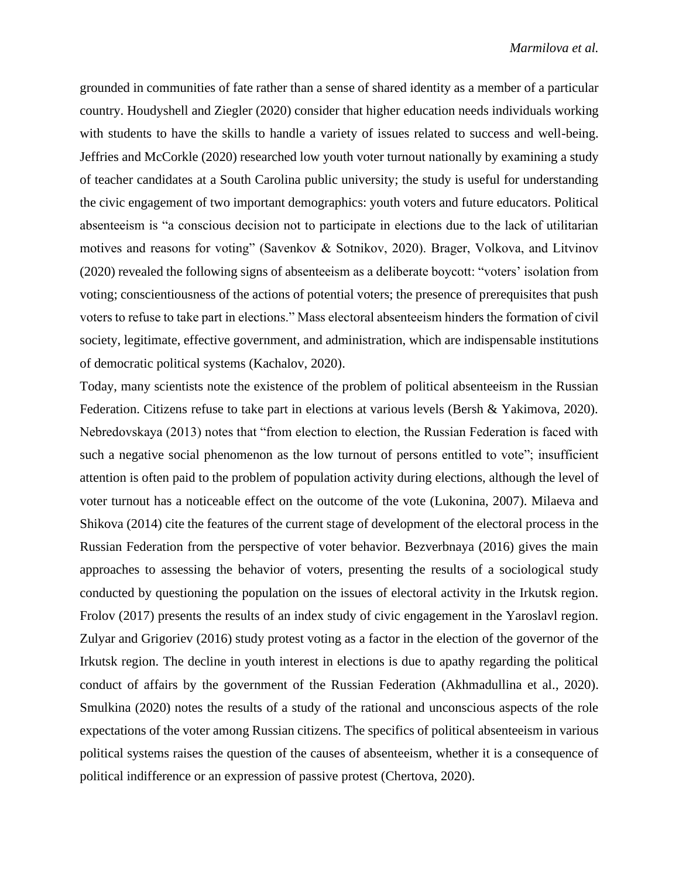grounded in communities of fate rather than a sense of shared identity as a member of a particular country. Houdyshell and Ziegler (2020) consider that higher education needs individuals working with students to have the skills to handle a variety of issues related to success and well-being. Jeffries and McCorkle (2020) researched low youth voter turnout nationally by examining a study of teacher candidates at a South Carolina public university; the study is useful for understanding the civic engagement of two important demographics: youth voters and future educators. Political absenteeism is "a conscious decision not to participate in elections due to the lack of utilitarian motives and reasons for voting" (Savenkov & Sotnikov, 2020). Brager, Volkova, and Litvinov (2020) revealed the following signs of absenteeism as a deliberate boycott: "voters' isolation from voting; conscientiousness of the actions of potential voters; the presence of prerequisites that push voters to refuse to take part in elections." Mass electoral absenteeism hinders the formation of civil society, legitimate, effective government, and administration, which are indispensable institutions of democratic political systems (Kachalov, 2020).

Today, many scientists note the existence of the problem of political absenteeism in the Russian Federation. Citizens refuse to take part in elections at various levels (Bersh & Yakimova, 2020). Nebredovskaya (2013) notes that "from election to election, the Russian Federation is faced with such a negative social phenomenon as the low turnout of persons entitled to vote"; insufficient attention is often paid to the problem of population activity during elections, although the level of voter turnout has a noticeable effect on the outcome of the vote (Lukonina, 2007). Milaeva and Shikova (2014) cite the features of the current stage of development of the electoral process in the Russian Federation from the perspective of voter behavior. Bezverbnaya (2016) gives the main approaches to assessing the behavior of voters, presenting the results of a sociological study conducted by questioning the population on the issues of electoral activity in the Irkutsk region. Frolov (2017) presents the results of an index study of civic engagement in the Yaroslavl region. Zulyar and Grigoriev (2016) study protest voting as a factor in the election of the governor of the Irkutsk region. The decline in youth interest in elections is due to apathy regarding the political conduct of affairs by the government of the Russian Federation (Akhmadullina et al., 2020). Smulkina (2020) notes the results of a study of the rational and unconscious aspects of the role expectations of the voter among Russian citizens. The specifics of political absenteeism in various political systems raises the question of the causes of absenteeism, whether it is a consequence of political indifference or an expression of passive protest (Chertova, 2020).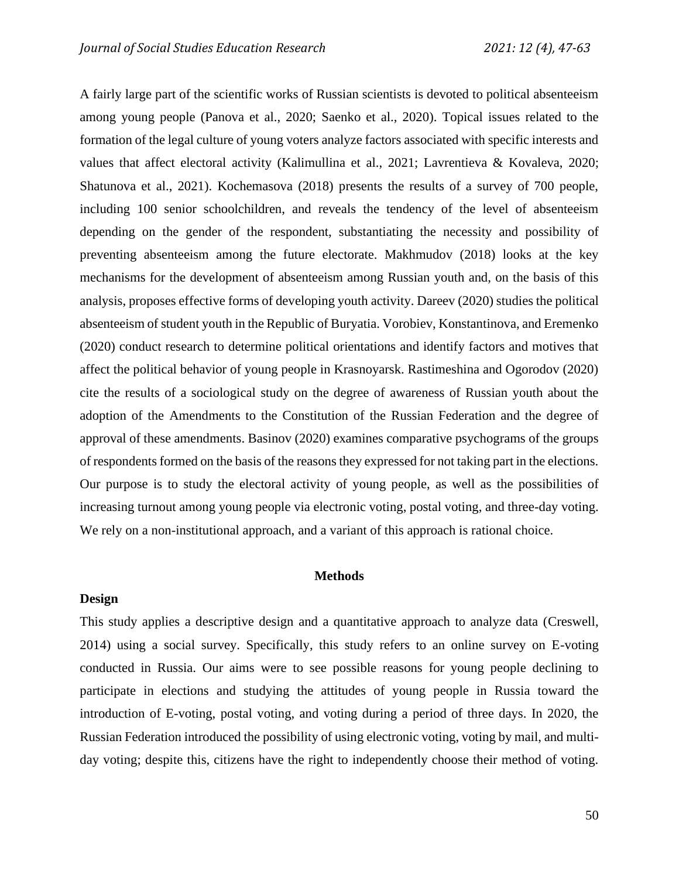A fairly large part of the scientific works of Russian scientists is devoted to political absenteeism among young people (Panova et al., 2020; Saenko et al., 2020). Topical issues related to the formation of the legal culture of young voters analyze factors associated with specific interests and values that affect electoral activity (Kalimullina et al., 2021; Lavrentieva & Kovaleva, 2020; Shatunova et al., 2021). Kochemasova (2018) presents the results of a survey of 700 people, including 100 senior schoolchildren, and reveals the tendency of the level of absenteeism depending on the gender of the respondent, substantiating the necessity and possibility of preventing absenteeism among the future electorate. Makhmudov (2018) looks at the key mechanisms for the development of absenteeism among Russian youth and, on the basis of this analysis, proposes effective forms of developing youth activity. Dareev (2020) studies the political absenteeism of student youth in the Republic of Buryatia. Vorobiev, Konstantinova, and Eremenko (2020) conduct research to determine political orientations and identify factors and motives that affect the political behavior of young people in Krasnoyarsk. Rastimeshina and Ogorodov (2020) cite the results of a sociological study on the degree of awareness of Russian youth about the adoption of the Amendments to the Constitution of the Russian Federation and the degree of approval of these amendments. Basinov (2020) examines comparative psychograms of the groups of respondents formed on the basis of the reasons they expressed for not taking part in the elections. Our purpose is to study the electoral activity of young people, as well as the possibilities of increasing turnout among young people via electronic voting, postal voting, and three-day voting. We rely on a non-institutional approach, and a variant of this approach is rational choice.

#### **Methods**

### **Design**

This study applies a descriptive design and a quantitative approach to analyze data (Creswell, 2014) using a social survey. Specifically, this study refers to an online survey on E-voting conducted in Russia. Our aims were to see possible reasons for young people declining to participate in elections and studying the attitudes of young people in Russia toward the introduction of E-voting, postal voting, and voting during a period of three days. In 2020, the Russian Federation introduced the possibility of using electronic voting, voting by mail, and multiday voting; despite this, citizens have the right to independently choose their method of voting.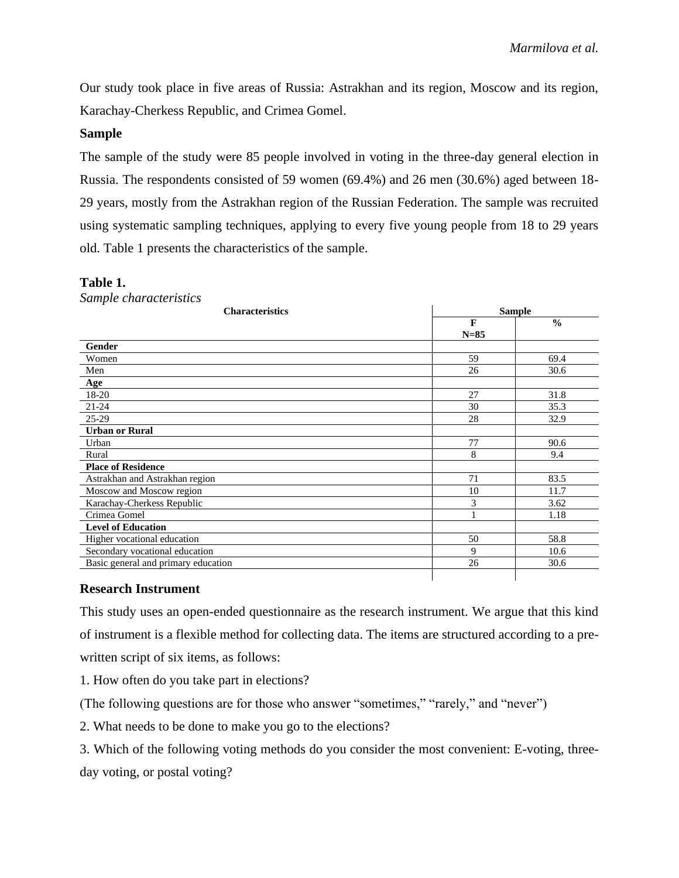Our study took place in five areas of Russia: Astrakhan and its region, Moscow and its region, Karachay-Cherkess Republic, and Crimea Gomel.

# **Sample**

The sample of the study were 85 people involved in voting in the three-day general election in Russia. The respondents consisted of 59 women (69.4%) and 26 men (30.6%) aged between 18- 29 years, mostly from the Astrakhan region of the Russian Federation. The sample was recruited using systematic sampling techniques, applying to every five young people from 18 to 29 years old. Table 1 presents the characteristics of the sample.

# **Table 1.**

*Sample characteristics*

| <b>Characteristics</b>              |              | <b>Sample</b> |  |
|-------------------------------------|--------------|---------------|--|
|                                     | $\mathbf{F}$ | $\frac{0}{0}$ |  |
|                                     | $N=85$       |               |  |
| Gender                              |              |               |  |
| Women                               | 59           | 69.4          |  |
| Men                                 | 26           | 30.6          |  |
| Age                                 |              |               |  |
| 18-20                               | 27           | 31.8          |  |
| $21 - 24$                           | 30           | 35.3          |  |
| 25-29                               | 28           | 32.9          |  |
| <b>Urban or Rural</b>               |              |               |  |
| Urban                               | 77           | 90.6          |  |
| Rural                               | 8            | 9.4           |  |
| <b>Place of Residence</b>           |              |               |  |
| Astrakhan and Astrakhan region      | 71           | 83.5          |  |
| Moscow and Moscow region            | 10           | 11.7          |  |
| Karachay-Cherkess Republic          | 3            | 3.62          |  |
| Crimea Gomel                        |              | 1.18          |  |
| <b>Level of Education</b>           |              |               |  |
| Higher vocational education         | 50           | 58.8          |  |
| Secondary vocational education      | 9            | 10.6          |  |
| Basic general and primary education | 26           | 30.6          |  |
|                                     |              |               |  |

# **Research Instrument**

This study uses an open-ended questionnaire as the research instrument. We argue that this kind of instrument is a flexible method for collecting data. The items are structured according to a prewritten script of six items, as follows:

1. How often do you take part in elections?

(The following questions are for those who answer "sometimes," "rarely," and "never")

2. What needs to be done to make you go to the elections?

3. Which of the following voting methods do you consider the most convenient: E-voting, threeday voting, or postal voting?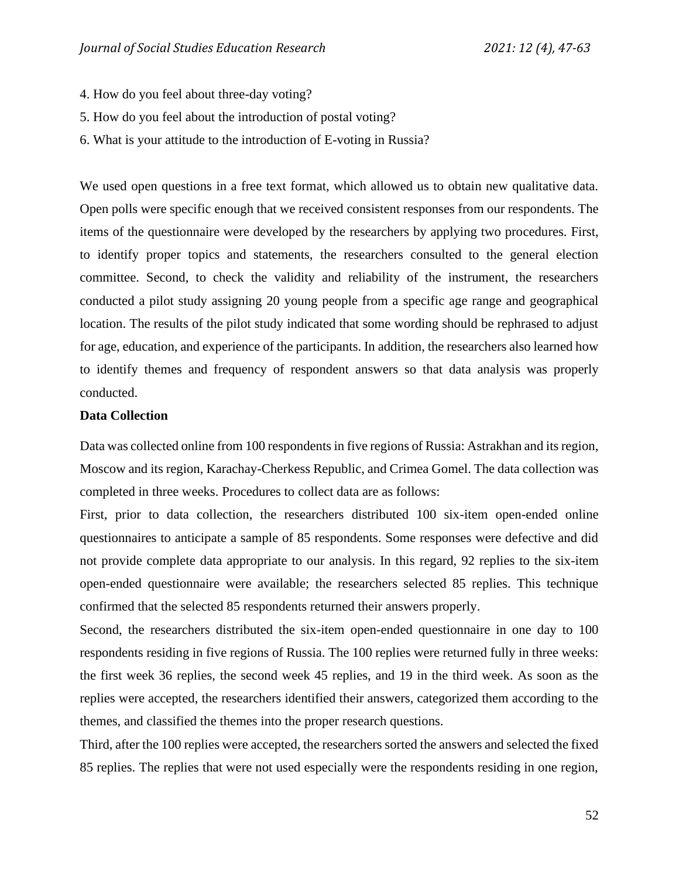- 4. How do you feel about three-day voting?
- 5. How do you feel about the introduction of postal voting?
- 6. What is your attitude to the introduction of E-voting in Russia?

We used open questions in a free text format, which allowed us to obtain new qualitative data. Open polls were specific enough that we received consistent responses from our respondents. The items of the questionnaire were developed by the researchers by applying two procedures. First, to identify proper topics and statements, the researchers consulted to the general election committee. Second, to check the validity and reliability of the instrument, the researchers conducted a pilot study assigning 20 young people from a specific age range and geographical location. The results of the pilot study indicated that some wording should be rephrased to adjust for age, education, and experience of the participants. In addition, the researchers also learned how to identify themes and frequency of respondent answers so that data analysis was properly conducted.

#### **Data Collection**

Data was collected online from 100 respondents in five regions of Russia: Astrakhan and its region, Moscow and its region, Karachay-Cherkess Republic, and Crimea Gomel. The data collection was completed in three weeks. Procedures to collect data are as follows:

First, prior to data collection, the researchers distributed 100 six-item open-ended online questionnaires to anticipate a sample of 85 respondents. Some responses were defective and did not provide complete data appropriate to our analysis. In this regard, 92 replies to the six-item open-ended questionnaire were available; the researchers selected 85 replies. This technique confirmed that the selected 85 respondents returned their answers properly.

Second, the researchers distributed the six-item open-ended questionnaire in one day to 100 respondents residing in five regions of Russia. The 100 replies were returned fully in three weeks: the first week 36 replies, the second week 45 replies, and 19 in the third week. As soon as the replies were accepted, the researchers identified their answers, categorized them according to the themes, and classified the themes into the proper research questions.

Third, after the 100 replies were accepted, the researchers sorted the answers and selected the fixed 85 replies. The replies that were not used especially were the respondents residing in one region,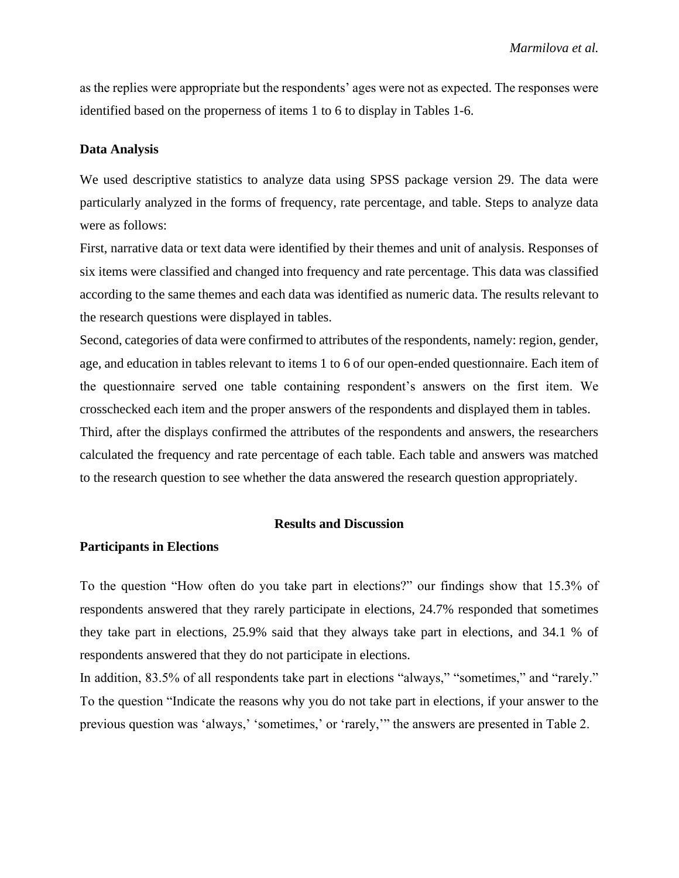as the replies were appropriate but the respondents' ages were not as expected. The responses were identified based on the properness of items 1 to 6 to display in Tables 1-6.

#### **Data Analysis**

We used descriptive statistics to analyze data using SPSS package version 29. The data were particularly analyzed in the forms of frequency, rate percentage, and table. Steps to analyze data were as follows:

First, narrative data or text data were identified by their themes and unit of analysis. Responses of six items were classified and changed into frequency and rate percentage. This data was classified according to the same themes and each data was identified as numeric data. The results relevant to the research questions were displayed in tables.

Second, categories of data were confirmed to attributes of the respondents, namely: region, gender, age, and education in tables relevant to items 1 to 6 of our open-ended questionnaire. Each item of the questionnaire served one table containing respondent's answers on the first item. We crosschecked each item and the proper answers of the respondents and displayed them in tables. Third, after the displays confirmed the attributes of the respondents and answers, the researchers

calculated the frequency and rate percentage of each table. Each table and answers was matched to the research question to see whether the data answered the research question appropriately.

#### **Results and Discussion**

#### **Participants in Elections**

To the question "How often do you take part in elections?" our findings show that 15.3% of respondents answered that they rarely participate in elections, 24.7% responded that sometimes they take part in elections, 25.9% said that they always take part in elections, and 34.1 % of respondents answered that they do not participate in elections.

In addition, 83.5% of all respondents take part in elections "always," "sometimes," and "rarely." To the question "Indicate the reasons why you do not take part in elections, if your answer to the previous question was 'always,' 'sometimes,' or 'rarely,'" the answers are presented in Table 2.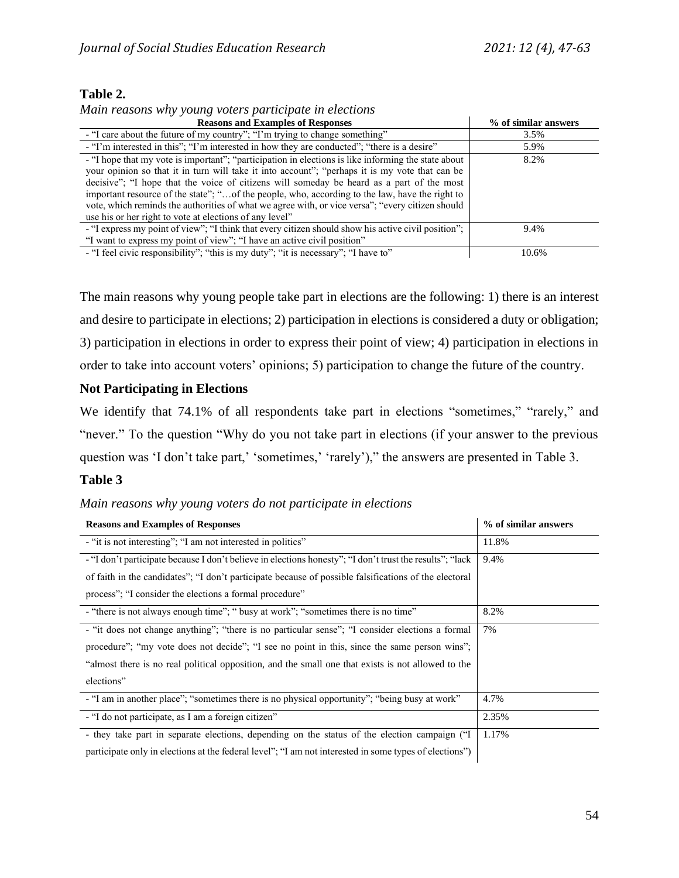# **Table 2.**

*Main reasons why young voters participate in elections*

| <b>Reasons and Examples of Responses</b>                                                                                                                                                                                                                                                                                                                                                                                                                                                                                                                            | % of similar answers |
|---------------------------------------------------------------------------------------------------------------------------------------------------------------------------------------------------------------------------------------------------------------------------------------------------------------------------------------------------------------------------------------------------------------------------------------------------------------------------------------------------------------------------------------------------------------------|----------------------|
| - "I care about the future of my country"; "I'm trying to change something"                                                                                                                                                                                                                                                                                                                                                                                                                                                                                         | 3.5%                 |
| - "I'm interested in this"; "I'm interested in how they are conducted"; "there is a desire"                                                                                                                                                                                                                                                                                                                                                                                                                                                                         | 5.9%                 |
| - "I hope that my vote is important"; "participation in elections is like informing the state about<br>your opinion so that it in turn will take it into account"; "perhaps it is my vote that can be<br>decisive"; "I hope that the voice of citizens will someday be heard as a part of the most<br>important resource of the state"; "of the people, who, according to the law, have the right to<br>vote, which reminds the authorities of what we agree with, or vice versa"; "every citizen should<br>use his or her right to vote at elections of any level" | 8.2%                 |
| - "I express my point of view"; "I think that every citizen should show his active civil position";<br>"I want to express my point of view"; "I have an active civil position"                                                                                                                                                                                                                                                                                                                                                                                      | 9.4%                 |
| - "I feel civic responsibility"; "this is my duty"; "it is necessary"; "I have to"                                                                                                                                                                                                                                                                                                                                                                                                                                                                                  | 10.6%                |

The main reasons why young people take part in elections are the following: 1) there is an interest and desire to participate in elections; 2) participation in elections is considered a duty or obligation; 3) participation in elections in order to express their point of view; 4) participation in elections in order to take into account voters' opinions; 5) participation to change the future of the country.

# **Not Participating in Elections**

We identify that 74.1% of all respondents take part in elections "sometimes," "rarely," and "never." To the question "Why do you not take part in elections (if your answer to the previous question was 'I don't take part,' 'sometimes,' 'rarely')," the answers are presented in Table 3.

# **Table 3**

*Main reasons why young voters do not participate in elections*

| <b>Reasons and Examples of Responses</b>                                                                 | % of similar answers |
|----------------------------------------------------------------------------------------------------------|----------------------|
| - "it is not interesting"; "I am not interested in politics"                                             | 11.8%                |
| - "I don't participate because I don't believe in elections honesty"; "I don't trust the results"; "lack | 9.4%                 |
| of faith in the candidates"; "I don't participate because of possible falsifications of the electoral    |                      |
| process"; "I consider the elections a formal procedure"                                                  |                      |
| - "there is not always enough time"; "busy at work"; "sometimes there is no time"                        | 8.2%                 |
| - "it does not change anything"; "there is no particular sense"; "I consider elections a formal          | 7%                   |
| procedure"; "my vote does not decide"; "I see no point in this, since the same person wins";             |                      |
| "almost there is no real political opposition, and the small one that exists is not allowed to the       |                      |
| elections"                                                                                               |                      |
| - "I am in another place"; "sometimes there is no physical opportunity"; "being busy at work"            | 4.7%                 |
| - "I do not participate, as I am a foreign citizen"                                                      | 2.35%                |
| - they take part in separate elections, depending on the status of the election campaign ("I             | 1.17%                |
| participate only in elections at the federal level"; "I am not interested in some types of elections")   |                      |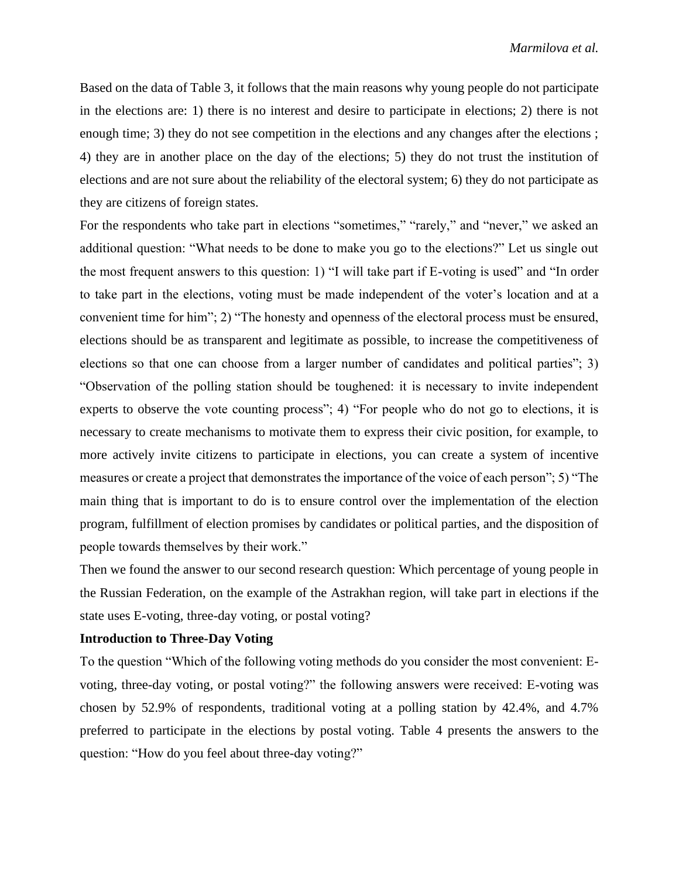Based on the data of Table 3, it follows that the main reasons why young people do not participate in the elections are: 1) there is no interest and desire to participate in elections; 2) there is not enough time; 3) they do not see competition in the elections and any changes after the elections; 4) they are in another place on the day of the elections; 5) they do not trust the institution of elections and are not sure about the reliability of the electoral system; 6) they do not participate as they are citizens of foreign states.

For the respondents who take part in elections "sometimes," "rarely," and "never," we asked an additional question: "What needs to be done to make you go to the elections?" Let us single out the most frequent answers to this question: 1) "I will take part if E-voting is used" and "In order to take part in the elections, voting must be made independent of the voter's location and at a convenient time for him"; 2) "The honesty and openness of the electoral process must be ensured, elections should be as transparent and legitimate as possible, to increase the competitiveness of elections so that one can choose from a larger number of candidates and political parties"; 3) "Observation of the polling station should be toughened: it is necessary to invite independent experts to observe the vote counting process"; 4) "For people who do not go to elections, it is necessary to create mechanisms to motivate them to express their civic position, for example, to more actively invite citizens to participate in elections, you can create a system of incentive measures or create a project that demonstrates the importance of the voice of each person"; 5) "The main thing that is important to do is to ensure control over the implementation of the election program, fulfillment of election promises by candidates or political parties, and the disposition of people towards themselves by their work."

Then we found the answer to our second research question: Which percentage of young people in the Russian Federation, on the example of the Astrakhan region, will take part in elections if the state uses E-voting, three-day voting, or postal voting?

#### **Introduction to Three-Day Voting**

To the question "Which of the following voting methods do you consider the most convenient: Evoting, three-day voting, or postal voting?" the following answers were received: E-voting was chosen by 52.9% of respondents, traditional voting at a polling station by 42.4%, and 4.7% preferred to participate in the elections by postal voting. Table 4 presents the answers to the question: "How do you feel about three-day voting?"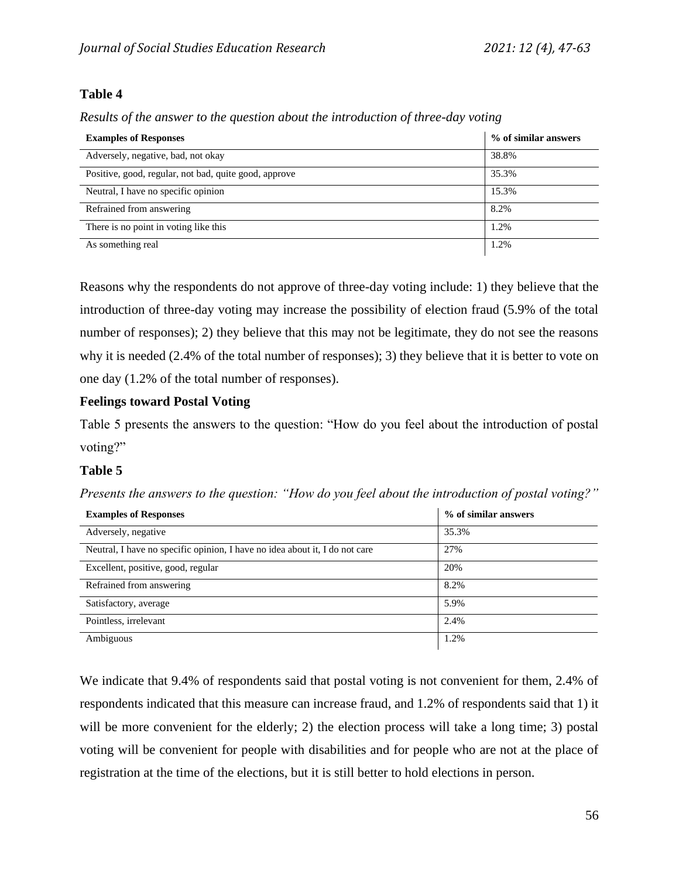# **Table 4**

*Results of the answer to the question about the introduction of three-day voting*

| <b>Examples of Responses</b>                          | % of similar answers |
|-------------------------------------------------------|----------------------|
| Adversely, negative, bad, not okay                    | 38.8%                |
| Positive, good, regular, not bad, quite good, approve | 35.3%                |
| Neutral, I have no specific opinion                   | 15.3%                |
| Refrained from answering                              | 8.2%                 |
| There is no point in voting like this                 | 1.2%                 |
| As something real                                     | 1.2%                 |

Reasons why the respondents do not approve of three-day voting include: 1) they believe that the introduction of three-day voting may increase the possibility of election fraud (5.9% of the total number of responses); 2) they believe that this may not be legitimate, they do not see the reasons why it is needed (2.4% of the total number of responses); 3) they believe that it is better to vote on one day (1.2% of the total number of responses).

# **Feelings toward Postal Voting**

Table 5 presents the answers to the question: "How do you feel about the introduction of postal voting?"

# **Table 5**

| <b>Examples of Responses</b>                                                | % of similar answers |
|-----------------------------------------------------------------------------|----------------------|
| Adversely, negative                                                         | 35.3%                |
| Neutral, I have no specific opinion, I have no idea about it, I do not care | 27%                  |
| Excellent, positive, good, regular                                          | 20%                  |
| Refrained from answering                                                    | 8.2%                 |
| Satisfactory, average                                                       | 5.9%                 |
| Pointless, irrelevant                                                       | 2.4%                 |
| Ambiguous                                                                   | 1.2%                 |

*Presents the answers to the question: "How do you feel about the introduction of postal voting?"* 

We indicate that 9.4% of respondents said that postal voting is not convenient for them, 2.4% of respondents indicated that this measure can increase fraud, and 1.2% of respondents said that 1) it will be more convenient for the elderly; 2) the election process will take a long time; 3) postal voting will be convenient for people with disabilities and for people who are not at the place of registration at the time of the elections, but it is still better to hold elections in person.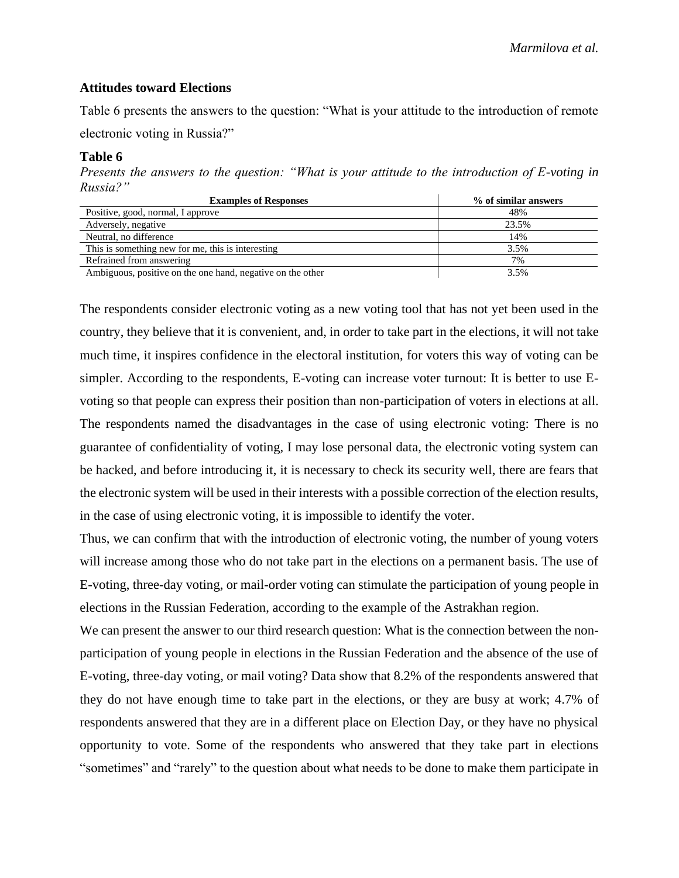### **Attitudes toward Elections**

Table 6 presents the answers to the question: "What is your attitude to the introduction of remote

electronic voting in Russia?"

#### **Table 6**

*Presents the answers to the question: "What is your attitude to the introduction of E-voting in Russia?"*

| <b>Examples of Responses</b>                               | % of similar answers |
|------------------------------------------------------------|----------------------|
| Positive, good, normal, I approve                          | 48%                  |
| Adversely, negative                                        | 23.5%                |
| Neutral, no difference                                     | 14%                  |
| This is something new for me, this is interesting          | 3.5%                 |
| Refrained from answering                                   | 7%                   |
| Ambiguous, positive on the one hand, negative on the other | 3.5%                 |

The respondents consider electronic voting as a new voting tool that has not yet been used in the country, they believe that it is convenient, and, in order to take part in the elections, it will not take much time, it inspires confidence in the electoral institution, for voters this way of voting can be simpler. According to the respondents, E-voting can increase voter turnout: It is better to use Evoting so that people can express their position than non-participation of voters in elections at all. The respondents named the disadvantages in the case of using electronic voting: There is no guarantee of confidentiality of voting, I may lose personal data, the electronic voting system can be hacked, and before introducing it, it is necessary to check its security well, there are fears that the electronic system will be used in their interests with a possible correction of the election results, in the case of using electronic voting, it is impossible to identify the voter.

Thus, we can confirm that with the introduction of electronic voting, the number of young voters will increase among those who do not take part in the elections on a permanent basis. The use of E-voting, three-day voting, or mail-order voting can stimulate the participation of young people in elections in the Russian Federation, according to the example of the Astrakhan region.

We can present the answer to our third research question: What is the connection between the nonparticipation of young people in elections in the Russian Federation and the absence of the use of E-voting, three-day voting, or mail voting? Data show that 8.2% of the respondents answered that they do not have enough time to take part in the elections, or they are busy at work; 4.7% of respondents answered that they are in a different place on Election Day, or they have no physical opportunity to vote. Some of the respondents who answered that they take part in elections "sometimes" and "rarely" to the question about what needs to be done to make them participate in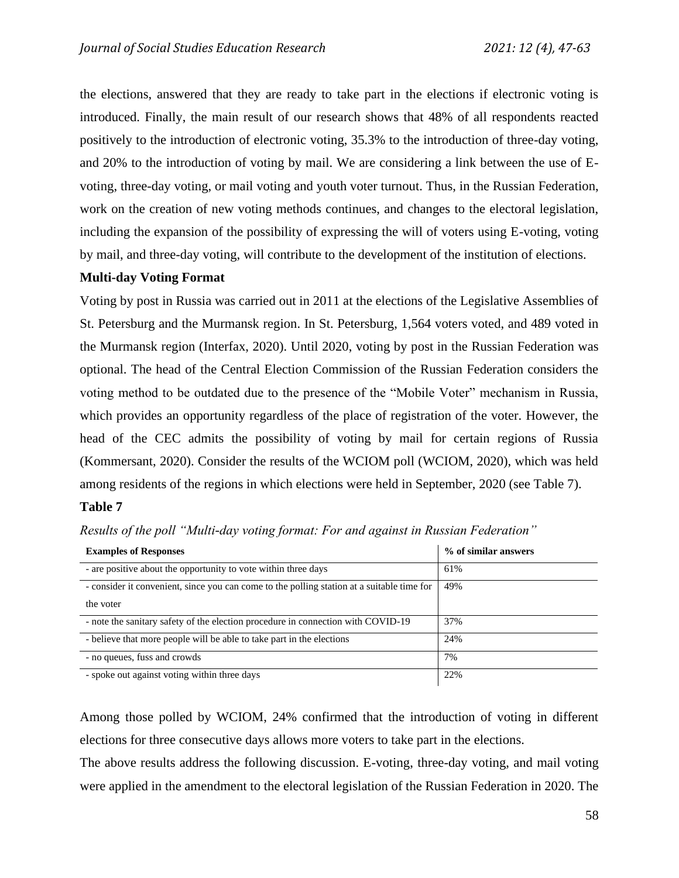the elections, answered that they are ready to take part in the elections if electronic voting is introduced. Finally, the main result of our research shows that 48% of all respondents reacted positively to the introduction of electronic voting, 35.3% to the introduction of three-day voting, and 20% to the introduction of voting by mail. We are considering a link between the use of Evoting, three-day voting, or mail voting and youth voter turnout. Thus, in the Russian Federation, work on the creation of new voting methods continues, and changes to the electoral legislation, including the expansion of the possibility of expressing the will of voters using E-voting, voting by mail, and three-day voting, will contribute to the development of the institution of elections.

## **Multi-day Voting Format**

Voting by post in Russia was carried out in 2011 at the elections of the Legislative Assemblies of St. Petersburg and the Murmansk region. In St. Petersburg, 1,564 voters voted, and 489 voted in the Murmansk region (Interfax, 2020). Until 2020, voting by post in the Russian Federation was optional. The head of the Central Election Commission of the Russian Federation considers the voting method to be outdated due to the presence of the "Mobile Voter" mechanism in Russia, which provides an opportunity regardless of the place of registration of the voter. However, the head of the CEC admits the possibility of voting by mail for certain regions of Russia (Kommersant, 2020). Consider the results of the WCIOM poll (WCIOM, 2020), which was held among residents of the regions in which elections were held in September, 2020 (see Table 7).

### **Table 7**

*Results of the poll "Multi-day voting format: For and against in Russian Federation"*

| <b>Examples of Responses</b>                                                               | % of similar answers |
|--------------------------------------------------------------------------------------------|----------------------|
| - are positive about the opportunity to vote within three days                             | 61%                  |
| - consider it convenient, since you can come to the polling station at a suitable time for | 49%                  |
| the voter                                                                                  |                      |
| - note the sanitary safety of the election procedure in connection with COVID-19           | 37%                  |
| - believe that more people will be able to take part in the elections                      | 24%                  |
| - no queues, fuss and crowds                                                               | 7%                   |
| - spoke out against voting within three days                                               | 22%                  |

Among those polled by WCIOM, 24% confirmed that the introduction of voting in different elections for three consecutive days allows more voters to take part in the elections.

The above results address the following discussion. E-voting, three-day voting, and mail voting were applied in the amendment to the electoral legislation of the Russian Federation in 2020. The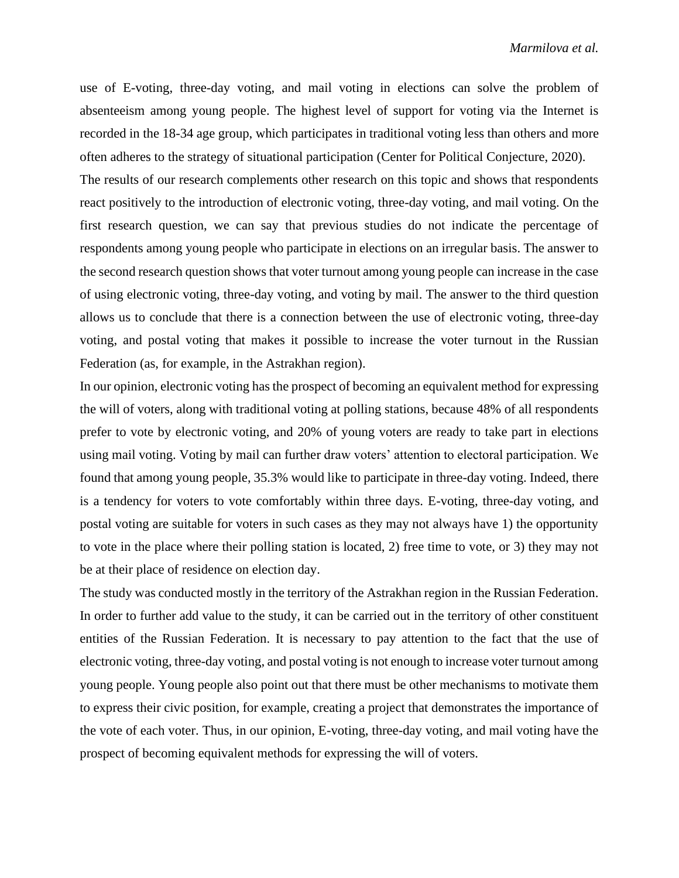use of E-voting, three-day voting, and mail voting in elections can solve the problem of absenteeism among young people. The highest level of support for voting via the Internet is recorded in the 18-34 age group, which participates in traditional voting less than others and more often adheres to the strategy of situational participation (Center for Political Conjecture, 2020).

The results of our research complements other research on this topic and shows that respondents react positively to the introduction of electronic voting, three-day voting, and mail voting. On the first research question, we can say that previous studies do not indicate the percentage of respondents among young people who participate in elections on an irregular basis. The answer to the second research question shows that voter turnout among young people can increase in the case of using electronic voting, three-day voting, and voting by mail. The answer to the third question allows us to conclude that there is a connection between the use of electronic voting, three-day voting, and postal voting that makes it possible to increase the voter turnout in the Russian Federation (as, for example, in the Astrakhan region).

In our opinion, electronic voting has the prospect of becoming an equivalent method for expressing the will of voters, along with traditional voting at polling stations, because 48% of all respondents prefer to vote by electronic voting, and 20% of young voters are ready to take part in elections using mail voting. Voting by mail can further draw voters' attention to electoral participation. We found that among young people, 35.3% would like to participate in three-day voting. Indeed, there is a tendency for voters to vote comfortably within three days. E-voting, three-day voting, and postal voting are suitable for voters in such cases as they may not always have 1) the opportunity to vote in the place where their polling station is located, 2) free time to vote, or 3) they may not be at their place of residence on election day.

The study was conducted mostly in the territory of the Astrakhan region in the Russian Federation. In order to further add value to the study, it can be carried out in the territory of other constituent entities of the Russian Federation. It is necessary to pay attention to the fact that the use of electronic voting, three-day voting, and postal voting is not enough to increase voter turnout among young people. Young people also point out that there must be other mechanisms to motivate them to express their civic position, for example, creating a project that demonstrates the importance of the vote of each voter. Thus, in our opinion, E-voting, three-day voting, and mail voting have the prospect of becoming equivalent methods for expressing the will of voters.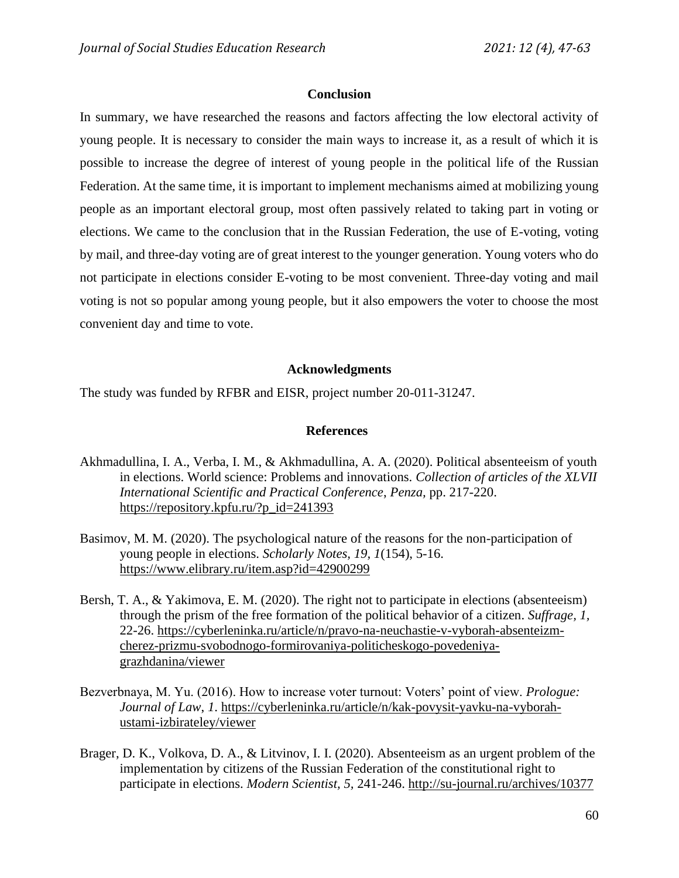### **Conclusion**

In summary, we have researched the reasons and factors affecting the low electoral activity of young people. It is necessary to consider the main ways to increase it, as a result of which it is possible to increase the degree of interest of young people in the political life of the Russian Federation. At the same time, it is important to implement mechanisms aimed at mobilizing young people as an important electoral group, most often passively related to taking part in voting or elections. We came to the conclusion that in the Russian Federation, the use of E-voting, voting by mail, and three-day voting are of great interest to the younger generation. Young voters who do not participate in elections consider E-voting to be most convenient. Three-day voting and mail voting is not so popular among young people, but it also empowers the voter to choose the most convenient day and time to vote.

### **Acknowledgments**

The study was funded by RFBR and EISR, project number 20-011-31247.

#### **References**

- Akhmadullina, I. A., Verba, I. M., & Akhmadullina, A. A. (2020). Political absenteeism of youth in elections. World science: Problems and innovations. *Collection of articles of the XLVII International Scientific and Practical Conference*, *Penza,* pp. 217-220. https://repository.kpfu.ru/?p\_id=241393
- Basimov, M. M. (2020). The psychological nature of the reasons for the non-participation of young people in elections. *Scholarly Notes, 19, 1*(154), 5-16. https://www.elibrary.ru/item.asp?id=42900299
- Bersh, T. A., & Yakimova, E. M. (2020). The right not to participate in elections (absenteeism) through the prism of the free formation of the political behavior of a citizen. *Suffrage, 1,* 22-26. https://cyberleninka.ru/article/n/pravo-na-neuchastie-v-vyborah-absenteizmcherez-prizmu-svobodnogo-formirovaniya-politicheskogo-povedeniyagrazhdanina/viewer
- Bezverbnaya, M. Yu. (2016). How to increase voter turnout: Voters' point of view. *Prologue: Journal of Law*, *1*. https://cyberleninka.ru/article/n/kak-povysit-yavku-na-vyborahustami-izbirateley/viewer
- Brager, D. K., Volkova, D. A., & Litvinov, I. I. (2020). Absenteeism as an urgent problem of the implementation by citizens of the Russian Federation of the constitutional right to participate in elections. *Modern Scientist, 5,* 241-246. http://su-journal.ru/archives/10377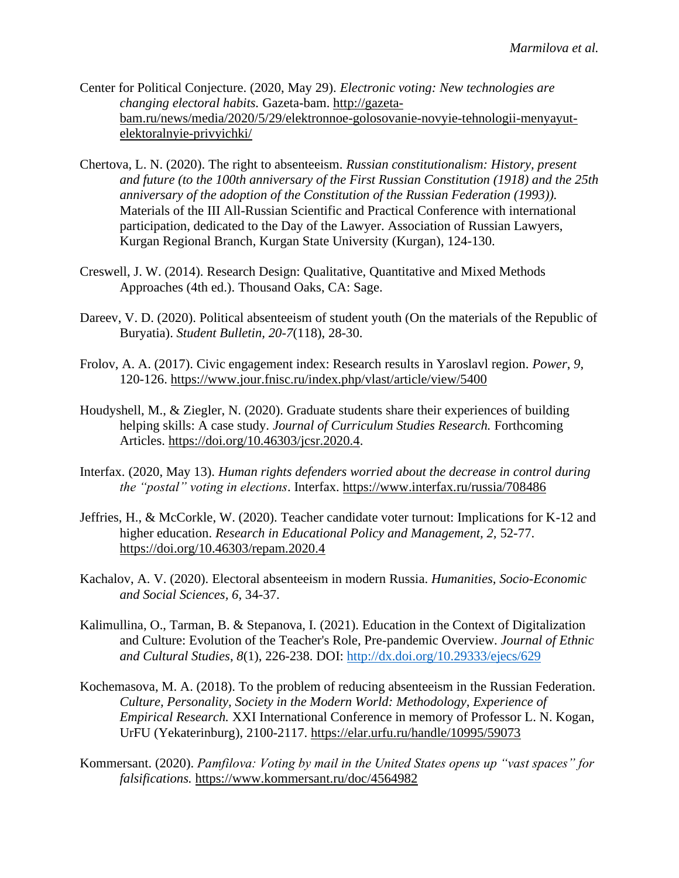- Center for Political Conjecture. (2020, May 29). *Electronic voting: New technologies are changing electoral habits.* Gazeta-bam. http://gazetabam.ru/news/media/2020/5/29/elektronnoe-golosovanie-novyie-tehnologii-menyayutelektoralnyie-privyichki/
- Chertova, L. N. (2020). The right to absenteeism. *Russian constitutionalism: History, present and future (to the 100th anniversary of the First Russian Constitution (1918) and the 25th anniversary of the adoption of the Constitution of the Russian Federation (1993)).* Materials of the III All-Russian Scientific and Practical Conference with international participation, dedicated to the Day of the Lawyer. Association of Russian Lawyers, Kurgan Regional Branch, Kurgan State University (Kurgan), 124-130.
- Creswell, J. W. (2014). Research Design: Qualitative, Quantitative and Mixed Methods Approaches (4th ed.). Thousand Oaks, CA: Sage.
- Dareev, V. D. (2020). Political absenteeism of student youth (On the materials of the Republic of Buryatia). *Student Bulletin, 20-7*(118), 28-30.
- Frolov, A. A. (2017). Civic engagement index: Research results in Yaroslavl region. *Power*, *9*, 120-126. https://www.jour.fnisc.ru/index.php/vlast/article/view/5400
- Houdyshell, M., & Ziegler, N. (2020). Graduate students share their experiences of building helping skills: A case study. *Journal of Curriculum Studies Research.* Forthcoming Articles. https://doi.org/10.46303/jcsr.2020.4.
- Interfax. (2020, May 13). *Human rights defenders worried about the decrease in control during the "postal" voting in elections*. Interfax. https://www.interfax.ru/russia/708486
- Jeffries, H., & McCorkle, W. (2020). Teacher candidate voter turnout: Implications for K-12 and higher education. *Research in Educational Policy and Management, 2,* 52-77. https://doi.org/10.46303/repam.2020.4
- Kachalov, A. V. (2020). Electoral absenteeism in modern Russia. *Humanities, Socio-Economic and Social Sciences, 6,* 34-37.
- Kalimullina, O., Tarman, B. & Stepanova, I. (2021). Education in the Context of Digitalization and Culture: Evolution of the Teacher's Role, Pre-pandemic Overview. *Journal of Ethnic and Cultural Studies*, *8*(1), 226-238. DOI: <http://dx.doi.org/10.29333/ejecs/629>
- Kochemasova, M. A. (2018). To the problem of reducing absenteeism in the Russian Federation. *Culture, Personality, Society in the Modern World: Methodology, Experience of Empirical Research.* XXI International Conference in memory of Professor L. N. Kogan, UrFU (Yekaterinburg), 2100-2117. https://elar.urfu.ru/handle/10995/59073
- Kommersant. (2020). *Pamfilova: Voting by mail in the United States opens up "vast spaces" for falsifications.* https://www.kommersant.ru/doc/4564982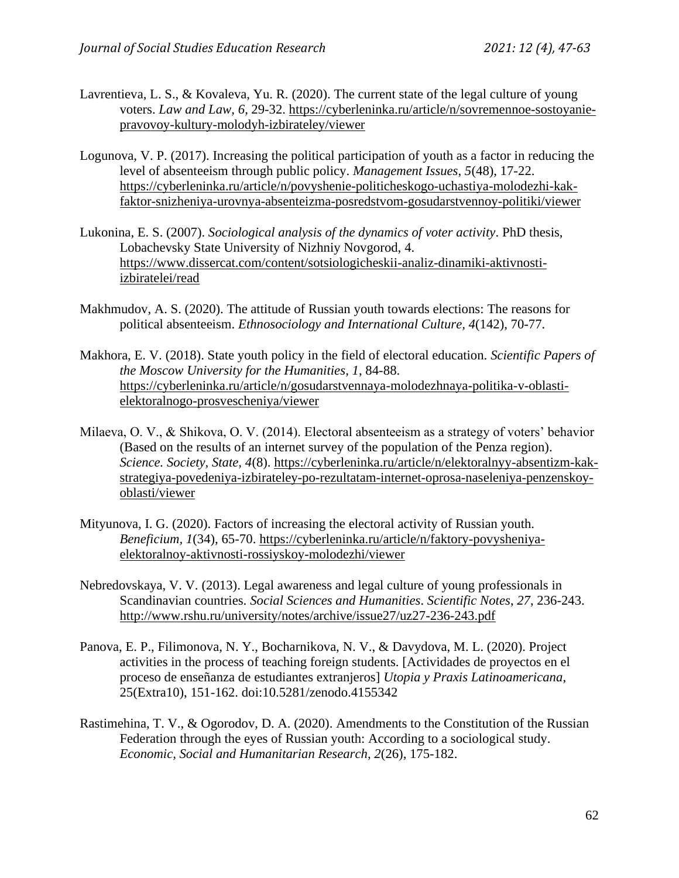- Lavrentieva, L. S., & Kovaleva, Yu. R. (2020). The current state of the legal culture of young voters. *Law and Law, 6,* 29-32. https://cyberleninka.ru/article/n/sovremennoe-sostoyaniepravovoy-kultury-molodyh-izbirateley/viewer
- Logunova, V. P. (2017). Increasing the political participation of youth as a factor in reducing the level of absenteeism through public policy. *Management Issues*, *5*(48), 17-22. https://cyberleninka.ru/article/n/povyshenie-politicheskogo-uchastiya-molodezhi-kakfaktor-snizheniya-urovnya-absenteizma-posredstvom-gosudarstvennoy-politiki/viewer
- Lukonina, E. S. (2007). *Sociological analysis of the dynamics of voter activity*. PhD thesis, Lobachevsky State University of Nizhniy Novgorod, 4. https://www.dissercat.com/content/sotsiologicheskii-analiz-dinamiki-aktivnostiizbiratelei/read
- Makhmudov, A. S. (2020). The attitude of Russian youth towards elections: The reasons for political absenteeism. *Ethnosociology and International Culture, 4*(142), 70-77.
- Makhora, E. V. (2018). State youth policy in the field of electoral education. *Scientific Papers of the Moscow University for the Humanities*, *1*, 84-88. https://cyberleninka.ru/article/n/gosudarstvennaya-molodezhnaya-politika-v-oblastielektoralnogo-prosvescheniya/viewer
- Milaeva, O. V., & Shikova, O. V. (2014). Electoral absenteeism as a strategy of voters' behavior (Based on the results of an internet survey of the population of the Penza region). *Science. Society, State, 4*(8). https://cyberleninka.ru/article/n/elektoralnyy-absentizm-kakstrategiya-povedeniya-izbirateley-po-rezultatam-internet-oprosa-naseleniya-penzenskoyoblasti/viewer
- Mityunova, I. G. (2020). Factors of increasing the electoral activity of Russian youth. *Beneficium, 1*(34), 65-70. https://cyberleninka.ru/article/n/faktory-povysheniyaelektoralnoy-aktivnosti-rossiyskoy-molodezhi/viewer
- Nebredovskaya, V. V. (2013). Legal awareness and legal culture of young professionals in Scandinavian countries. *Social Sciences and Humanities*. *Scientific Notes*, *27*, 236-243. http://www.rshu.ru/university/notes/archive/issue27/uz27-236-243.pdf
- Panova, E. P., Filimonova, N. Y., Bocharnikova, N. V., & Davydova, M. L. (2020). Project activities in the process of teaching foreign students. [Actividades de proyectos en el proceso de enseñanza de estudiantes extranjeros] *Utopia y Praxis Latinoamericana*, 25(Extra10), 151-162. doi:10.5281/zenodo.4155342
- Rastimehina, T. V., & Ogorodov, D. A. (2020). Amendments to the Constitution of the Russian Federation through the eyes of Russian youth: According to a sociological study. *Economic, Social and Humanitarian Research*, *2*(26), 175-182.